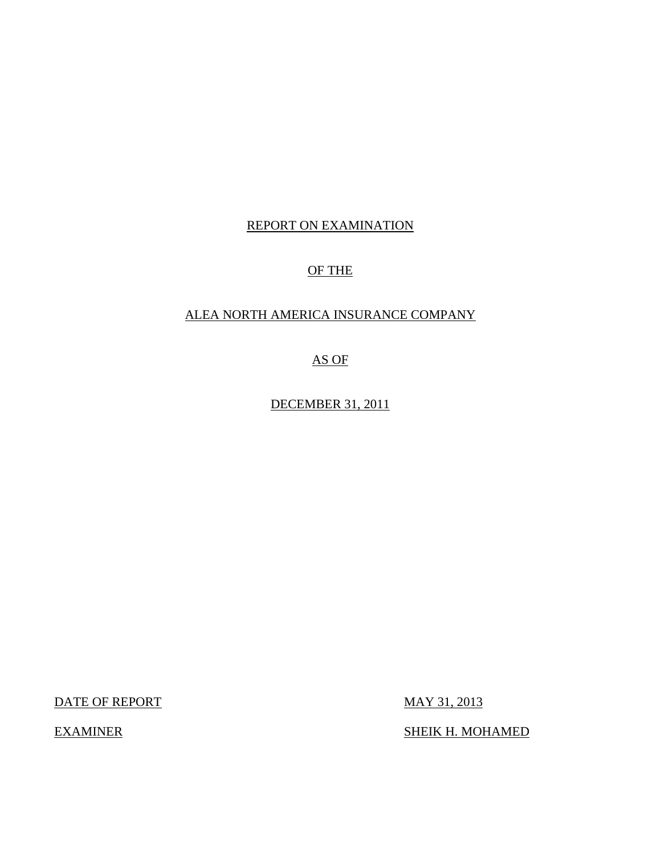## REPORT ON EXAMINATION

## OF THE

## ALEA NORTH AMERICA INSURANCE COMPANY

AS OF

DECEMBER 31, 2011

DATE OF REPORT MAY 31, 2013

EXAMINER SHEIK H. MOHAMED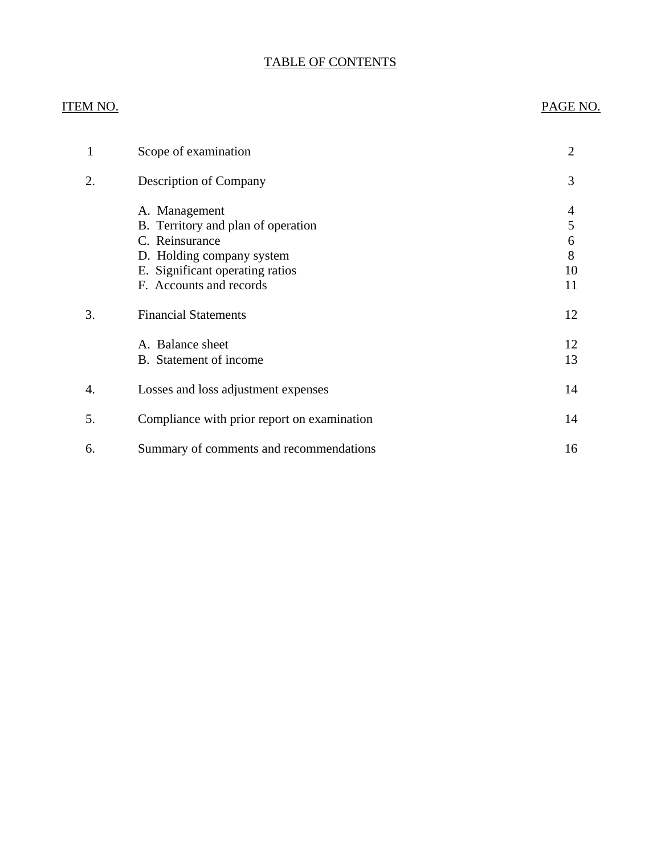## TABLE OF CONTENTS

## ITEM NO. PAGE NO.

|    | Scope of examination                                | $\overline{2}$ |
|----|-----------------------------------------------------|----------------|
| 2. | Description of Company                              | 3              |
|    | A. Management<br>B. Territory and plan of operation | 4<br>5         |
|    | C. Reinsurance                                      | 6              |
|    | D. Holding company system                           | 8              |
|    | E. Significant operating ratios                     | 10             |
|    | F. Accounts and records                             | 11             |
| 3. | <b>Financial Statements</b>                         | 12             |
|    | A. Balance sheet                                    | 12             |
|    | B. Statement of income                              | 13             |
| 4. | Losses and loss adjustment expenses                 | 14             |
| 5. | Compliance with prior report on examination         | 14             |
| 6. | Summary of comments and recommendations             | 16             |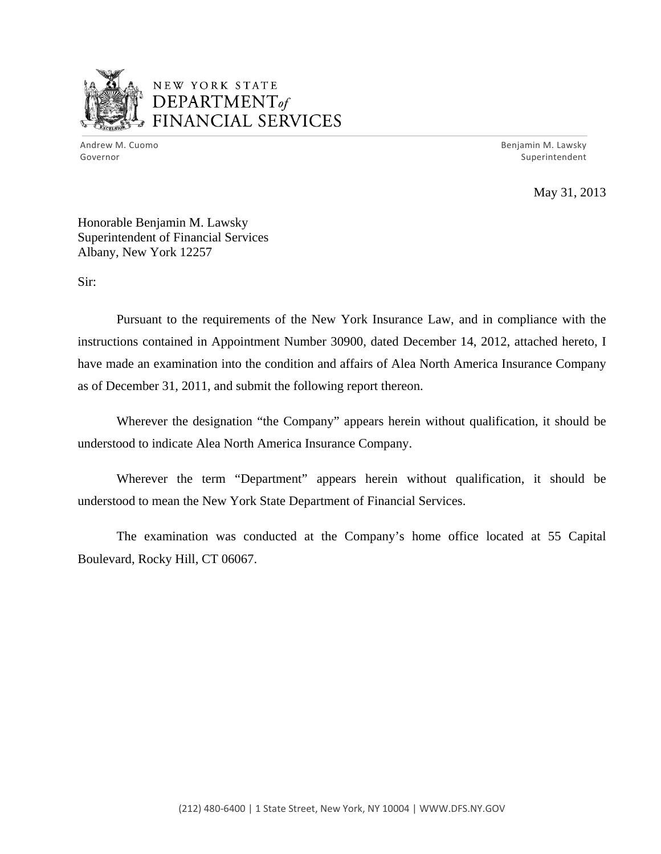

## NEW YORK STATE DEPARTMENTof *~,........,,* FINANCIAL SERVICES

Andrew M. Cuomo **Benjamin M. Lawsky** Governor Superintendent

May 31, 2013

Honorable Benjamin M. Lawsky Superintendent of Financial Services Albany, New York 12257

Sir:

Pursuant to the requirements of the New York Insurance Law, and in compliance with the instructions contained in Appointment Number 30900, dated December 14, 2012, attached hereto, I have made an examination into the condition and affairs of Alea North America Insurance Company as of December 31, 2011, and submit the following report thereon.

Wherever the designation "the Company" appears herein without qualification, it should be understood to indicate Alea North America Insurance Company.

Wherever the term "Department" appears herein without qualification, it should be understood to mean the New York State Department of Financial Services.

The examination was conducted at the Company's home office located at 55 Capital Boulevard, Rocky Hill, CT 06067.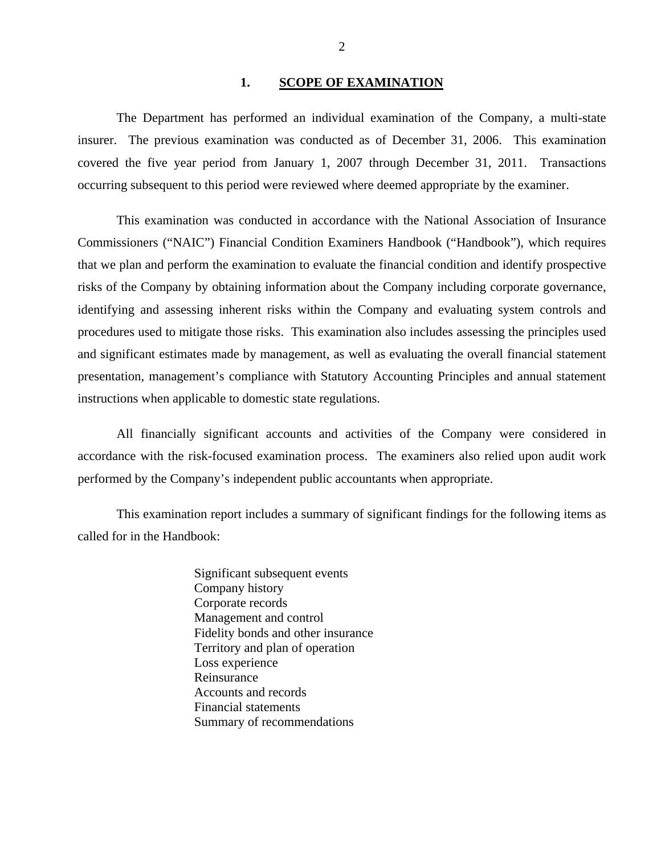#### 1. SCOPE OF EXAMINATION

<span id="page-3-0"></span>The Department has performed an individual examination of the Company*,* a multi-state insurer. The previous examination was conducted as of December 31, 2006. This examination covered the five year period from January 1, 2007 through December 31, 2011. Transactions occurring subsequent to this period were reviewed where deemed appropriate by the examiner.

This examination was conducted in accordance with the National Association of Insurance Commissioners ("NAIC") Financial Condition Examiners Handbook ("Handbook"), which requires that we plan and perform the examination to evaluate the financial condition and identify prospective risks of the Company by obtaining information about the Company including corporate governance, identifying and assessing inherent risks within the Company and evaluating system controls and procedures used to mitigate those risks. This examination also includes assessing the principles used and significant estimates made by management, as well as evaluating the overall financial statement presentation, management's compliance with Statutory Accounting Principles and annual statement instructions when applicable to domestic state regulations.

All financially significant accounts and activities of the Company were considered in accordance with the risk-focused examination process. The examiners also relied upon audit work performed by the Company's independent public accountants when appropriate.

This examination report includes a summary of significant findings for the following items as called for in the Handbook:

> Significant subsequent events Company history Corporate records Management and control Fidelity bonds and other insurance Territory and plan of operation Loss experience Reinsurance Accounts and records Financial statements Summary of recommendations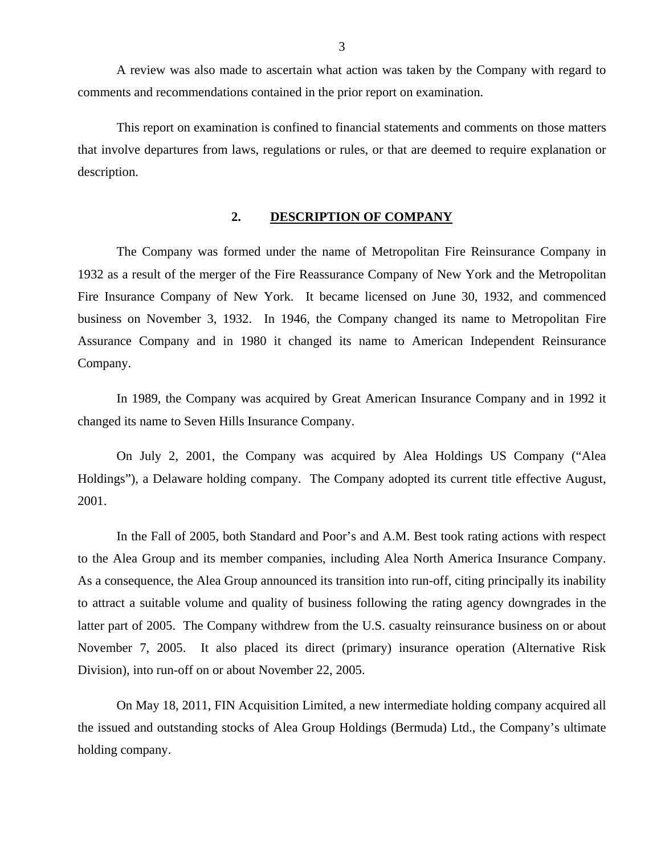<span id="page-4-0"></span>A review was also made to ascertain what action was taken by the Company with regard to comments and recommendations contained in the prior report on examination.

This report on examination is confined to financial statements and comments on those matters that involve departures from laws, regulations or rules, or that are deemed to require explanation or description.

### **2. DESCRIPTION OF COMPANY**

The Company was formed under the name of Metropolitan Fire Reinsurance Company in 1932 as a result of the merger of the Fire Reassurance Company of New York and the Metropolitan Fire Insurance Company of New York. It became licensed on June 30, 1932, and commenced business on November 3, 1932. In 1946, the Company changed its name to Metropolitan Fire Assurance Company and in 1980 it changed its name to American Independent Reinsurance Company.

In 1989, the Company was acquired by Great American Insurance Company and in 1992 it changed its name to Seven Hills Insurance Company.

On July 2, 2001, the Company was acquired by Alea Holdings US Company ("Alea Holdings"), a Delaware holding company. The Company adopted its current title effective August, 2001.

In the Fall of 2005, both Standard and Poor's and A.M. Best took rating actions with respect to the Alea Group and its member companies, including Alea North America Insurance Company. As a consequence, the Alea Group announced its transition into run-off, citing principally its inability to attract a suitable volume and quality of business following the rating agency downgrades in the latter part of 2005. The Company withdrew from the U.S. casualty reinsurance business on or about November 7, 2005. It also placed its direct (primary) insurance operation (Alternative Risk Division), into run-off on or about November 22, 2005.

On May 18, 2011, FIN Acquisition Limited, a new intermediate holding company acquired all the issued and outstanding stocks of Alea Group Holdings (Bermuda) Ltd., the Company's ultimate holding company.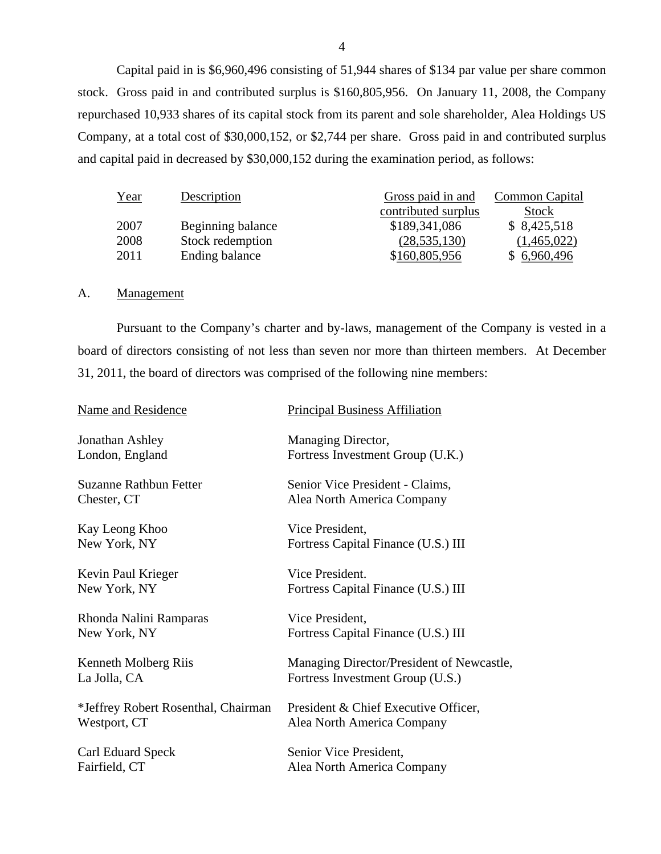Capital paid in is \$6,960,496 consisting of 51,944 shares of \$134 par value per share common stock. Gross paid in and contributed surplus is \$160,805,956. On January 11, 2008, the Company repurchased 10,933 shares of its capital stock from its parent and sole shareholder, Alea Holdings US Company, at a total cost of \$30,000,152, or \$2,744 per share. Gross paid in and contributed surplus and capital paid in decreased by \$30,000,152 during the examination period, as follows:

| Year | Description       | Gross paid in and   | Common Capital |
|------|-------------------|---------------------|----------------|
|      |                   | contributed surplus | Stock          |
| 2007 | Beginning balance | \$189,341,086       | \$8,425,518    |
| 2008 | Stock redemption  | (28, 535, 130)      | (1,465,022)    |
| 2011 | Ending balance    | \$160,805,956       | \$6,960,496    |

#### A. Management

Pursuant to the Company's charter and by-laws, management of the Company is vested in a board of directors consisting of not less than seven nor more than thirteen members. At December 31, 2011, the board of directors was comprised of the following nine members:

| Name and Residence                  | <b>Principal Business Affiliation</b>     |
|-------------------------------------|-------------------------------------------|
| Jonathan Ashley                     | Managing Director,                        |
| London, England                     | Fortress Investment Group (U.K.)          |
| <b>Suzanne Rathbun Fetter</b>       | Senior Vice President - Claims,           |
| Chester, CT                         | Alea North America Company                |
| Kay Leong Khoo                      | Vice President,                           |
| New York, NY                        | Fortress Capital Finance (U.S.) III       |
| Kevin Paul Krieger                  | Vice President.                           |
| New York, NY                        | Fortress Capital Finance (U.S.) III       |
| Rhonda Nalini Ramparas              | Vice President,                           |
| New York, NY                        | Fortress Capital Finance (U.S.) III       |
| Kenneth Molberg Riis                | Managing Director/President of Newcastle, |
| La Jolla, CA                        | Fortress Investment Group (U.S.)          |
| *Jeffrey Robert Rosenthal, Chairman | President & Chief Executive Officer,      |
| Westport, CT                        | Alea North America Company                |
| Carl Eduard Speck                   | Senior Vice President,                    |
| Fairfield, CT                       | Alea North America Company                |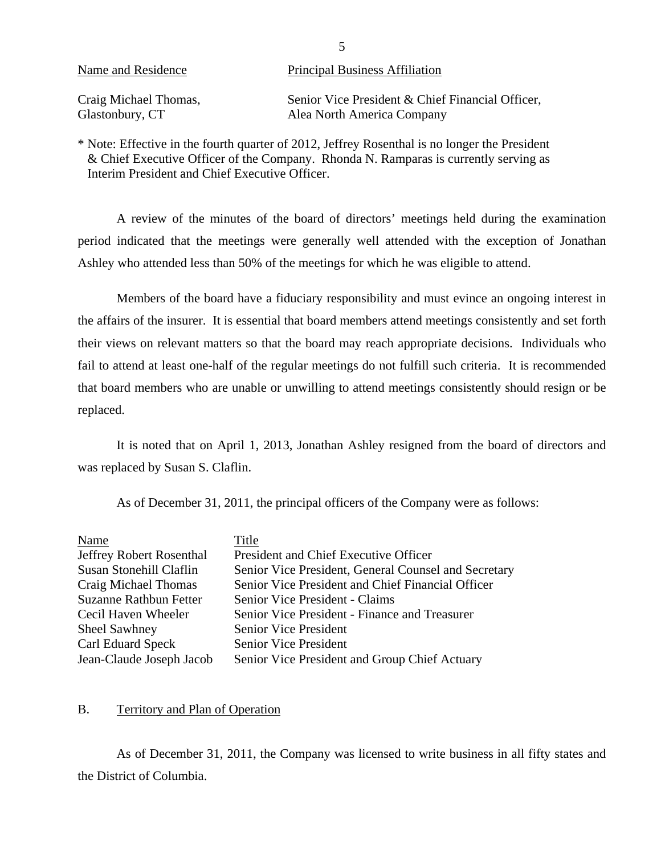<span id="page-6-0"></span>

| Name and Residence    | <b>Principal Business Affiliation</b>            |
|-----------------------|--------------------------------------------------|
| Craig Michael Thomas, | Senior Vice President & Chief Financial Officer, |
| Glastonbury, CT       | Alea North America Company                       |

\* Note: Effective in the fourth quarter of 2012, Jeffrey Rosenthal is no longer the President & Chief Executive Officer of the Company. Rhonda N. Ramparas is currently serving as Interim President and Chief Executive Officer.

A review of the minutes of the board of directors' meetings held during the examination period indicated that the meetings were generally well attended with the exception of Jonathan Ashley who attended less than 50% of the meetings for which he was eligible to attend.

Members of the board have a fiduciary responsibility and must evince an ongoing interest in the affairs of the insurer. It is essential that board members attend meetings consistently and set forth their views on relevant matters so that the board may reach appropriate decisions. Individuals who fail to attend at least one-half of the regular meetings do not fulfill such criteria. It is recommended that board members who are unable or unwilling to attend meetings consistently should resign or be replaced.

It is noted that on April 1, 2013, Jonathan Ashley resigned from the board of directors and was replaced by Susan S. Claflin.

As of December 31, 2011, the principal officers of the Company were as follows:

| Name                          | Title                                                |
|-------------------------------|------------------------------------------------------|
| Jeffrey Robert Rosenthal      | President and Chief Executive Officer                |
| Susan Stonehill Claflin       | Senior Vice President, General Counsel and Secretary |
| Craig Michael Thomas          | Senior Vice President and Chief Financial Officer    |
| <b>Suzanne Rathbun Fetter</b> | Senior Vice President - Claims                       |
| Cecil Haven Wheeler           | Senior Vice President - Finance and Treasurer        |
| Sheel Sawhney                 | <b>Senior Vice President</b>                         |
| Carl Eduard Speck             | <b>Senior Vice President</b>                         |
| Jean-Claude Joseph Jacob      | Senior Vice President and Group Chief Actuary        |

#### B. Territory and Plan of Operation

As of December 31, 2011, the Company was licensed to write business in all fifty states and the District of Columbia.

5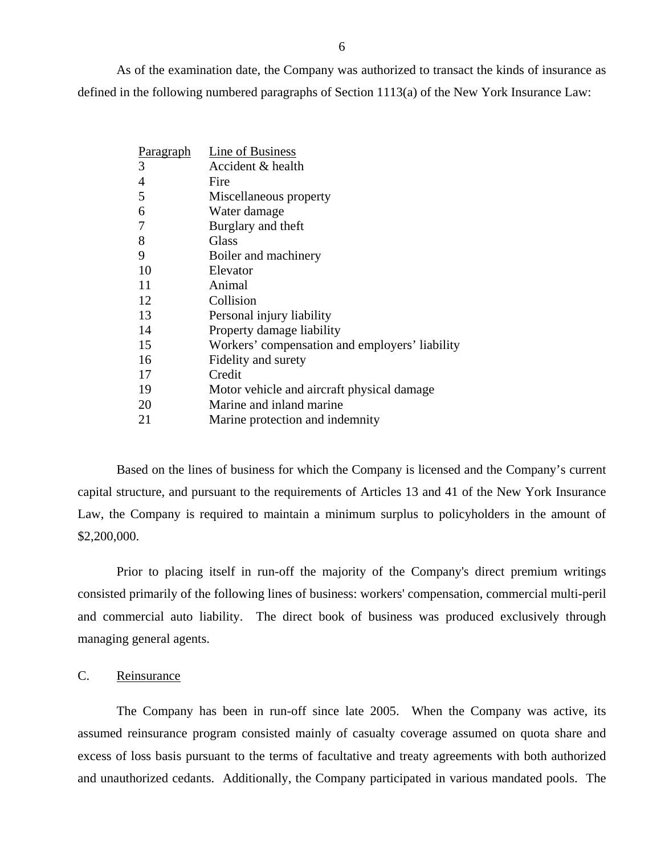<span id="page-7-0"></span>As of the examination date, the Company was authorized to transact the kinds of insurance as defined in the following numbered paragraphs of Section 1113(a) of the New York Insurance Law:

| Paragraph | Line of Business                               |
|-----------|------------------------------------------------|
| 3         | Accident & health                              |
| 4         | Fire                                           |
| 5         | Miscellaneous property                         |
| 6         | Water damage                                   |
| 7         | Burglary and theft                             |
| 8         | Glass                                          |
| 9         | Boiler and machinery                           |
| 10        | Elevator                                       |
| 11        | Animal                                         |
| 12        | Collision                                      |
| 13        | Personal injury liability                      |
| 14        | Property damage liability                      |
| 15        | Workers' compensation and employers' liability |
| 16        | Fidelity and surety                            |
| 17        | Credit                                         |
| 19        | Motor vehicle and aircraft physical damage     |
| 20        | Marine and inland marine                       |
| 21        | Marine protection and indemnity                |

Based on the lines of business for which the Company is licensed and the Company's current capital structure, and pursuant to the requirements of Articles 13 and 41 of the New York Insurance Law, the Company is required to maintain a minimum surplus to policyholders in the amount of \$2,200,000.

Prior to placing itself in run-off the majority of the Company's direct premium writings consisted primarily of the following lines of business: workers' compensation, commercial multi-peril and commercial auto liability. The direct book of business was produced exclusively through managing general agents.

### C. Reinsurance

The Company has been in run-off since late 2005. When the Company was active, its assumed reinsurance program consisted mainly of casualty coverage assumed on quota share and excess of loss basis pursuant to the terms of facultative and treaty agreements with both authorized and unauthorized cedants. Additionally, the Company participated in various mandated pools. The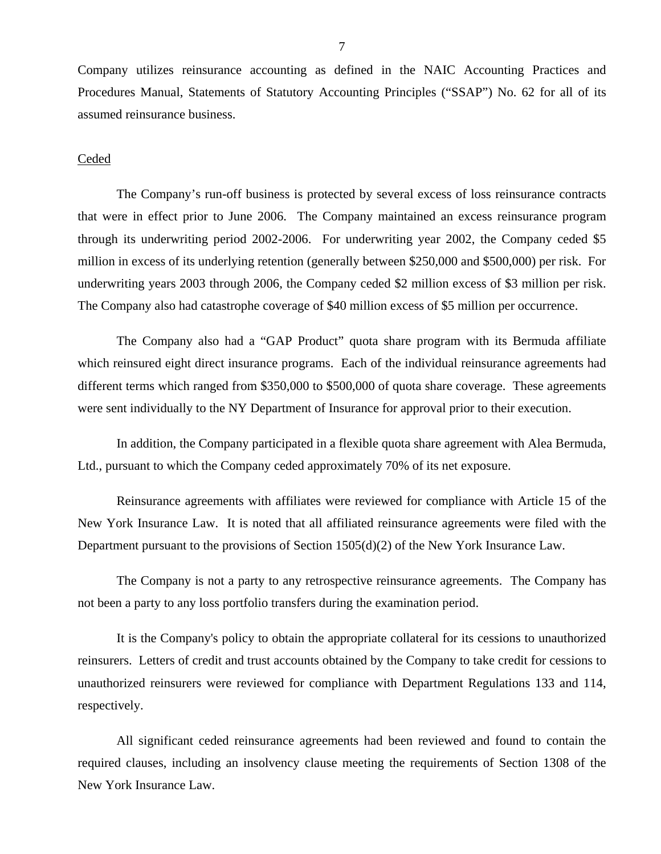Company utilizes reinsurance accounting as defined in the NAIC Accounting Practices and Procedures Manual, Statements of Statutory Accounting Principles ("SSAP") No. 62 for all of its assumed reinsurance business.

#### **Ceded**

The Company's run-off business is protected by several excess of loss reinsurance contracts that were in effect prior to June 2006. The Company maintained an excess reinsurance program through its underwriting period 2002-2006. For underwriting year 2002, the Company ceded \$5 million in excess of its underlying retention (generally between \$250,000 and \$500,000) per risk. For underwriting years 2003 through 2006, the Company ceded \$2 million excess of \$3 million per risk. The Company also had catastrophe coverage of \$40 million excess of \$5 million per occurrence.

The Company also had a "GAP Product" quota share program with its Bermuda affiliate which reinsured eight direct insurance programs. Each of the individual reinsurance agreements had different terms which ranged from \$350,000 to \$500,000 of quota share coverage. These agreements were sent individually to the NY Department of Insurance for approval prior to their execution.

In addition, the Company participated in a flexible quota share agreement with Alea Bermuda, Ltd., pursuant to which the Company ceded approximately 70% of its net exposure.

Reinsurance agreements with affiliates were reviewed for compliance with Article 15 of the New York Insurance Law. It is noted that all affiliated reinsurance agreements were filed with the Department pursuant to the provisions of Section 1505(d)(2) of the New York Insurance Law.

The Company is not a party to any retrospective reinsurance agreements. The Company has not been a party to any loss portfolio transfers during the examination period.

It is the Company's policy to obtain the appropriate collateral for its cessions to unauthorized reinsurers. Letters of credit and trust accounts obtained by the Company to take credit for cessions to unauthorized reinsurers were reviewed for compliance with Department Regulations 133 and 114, respectively.

All significant ceded reinsurance agreements had been reviewed and found to contain the required clauses, including an insolvency clause meeting the requirements of Section 1308 of the New York Insurance Law.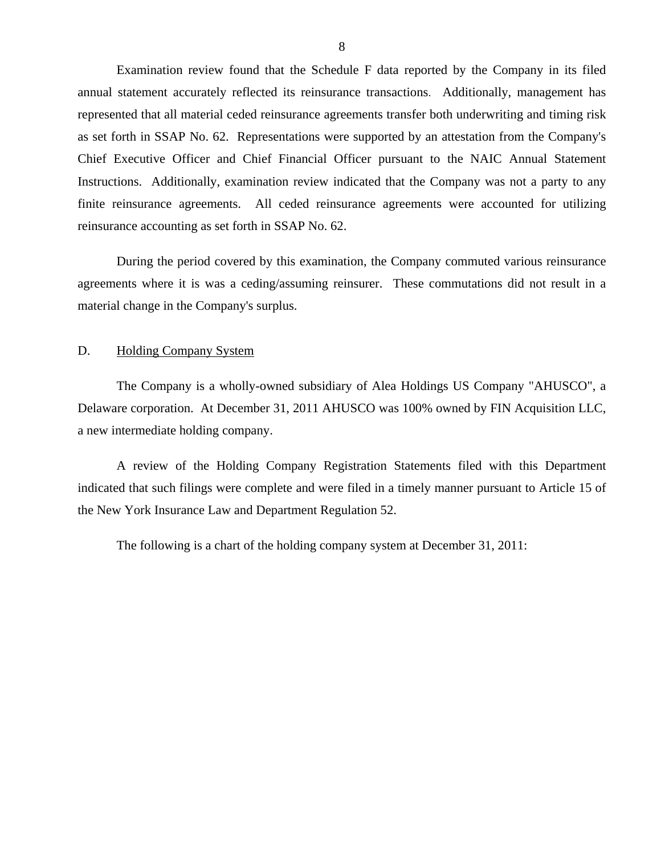<span id="page-9-0"></span>Examination review found that the Schedule F data reported by the Company in its filed annual statement accurately reflected its reinsurance transactions. Additionally, management has represented that all material ceded reinsurance agreements transfer both underwriting and timing risk as set forth in SSAP No. 62. Representations were supported by an attestation from the Company's Chief Executive Officer and Chief Financial Officer pursuant to the NAIC Annual Statement Instructions. Additionally, examination review indicated that the Company was not a party to any finite reinsurance agreements. All ceded reinsurance agreements were accounted for utilizing reinsurance accounting as set forth in SSAP No. 62.

During the period covered by this examination, the Company commuted various reinsurance agreements where it is was a ceding/assuming reinsurer. These commutations did not result in a material change in the Company's surplus.

#### D. Holding Company System

The Company is a wholly-owned subsidiary of Alea Holdings US Company "AHUSCO", a Delaware corporation. At December 31, 2011 AHUSCO was 100% owned by FIN Acquisition LLC, a new intermediate holding company.

A review of the Holding Company Registration Statements filed with this Department indicated that such filings were complete and were filed in a timely manner pursuant to Article 15 of the New York Insurance Law and Department Regulation 52.

The following is a chart of the holding company system at December 31, 2011: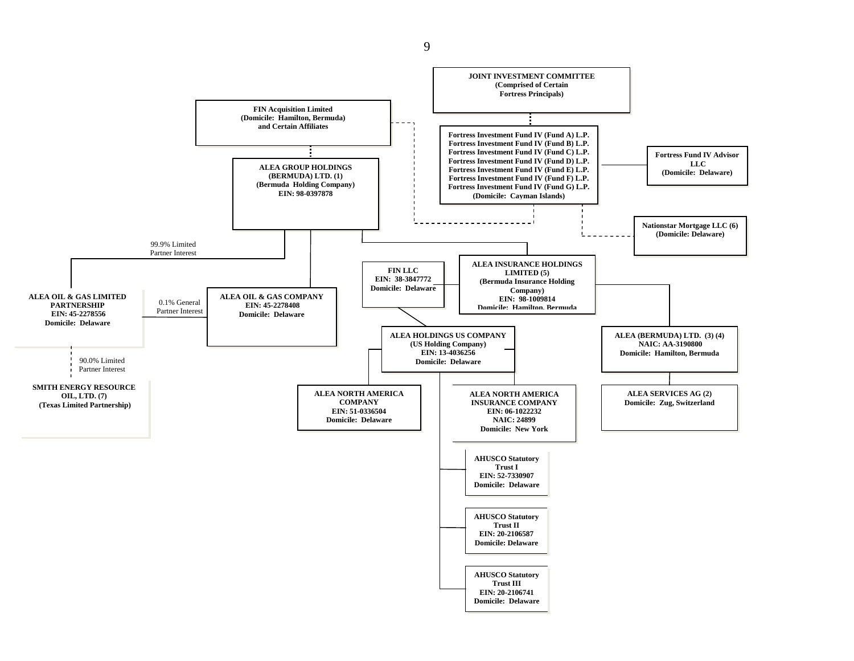

9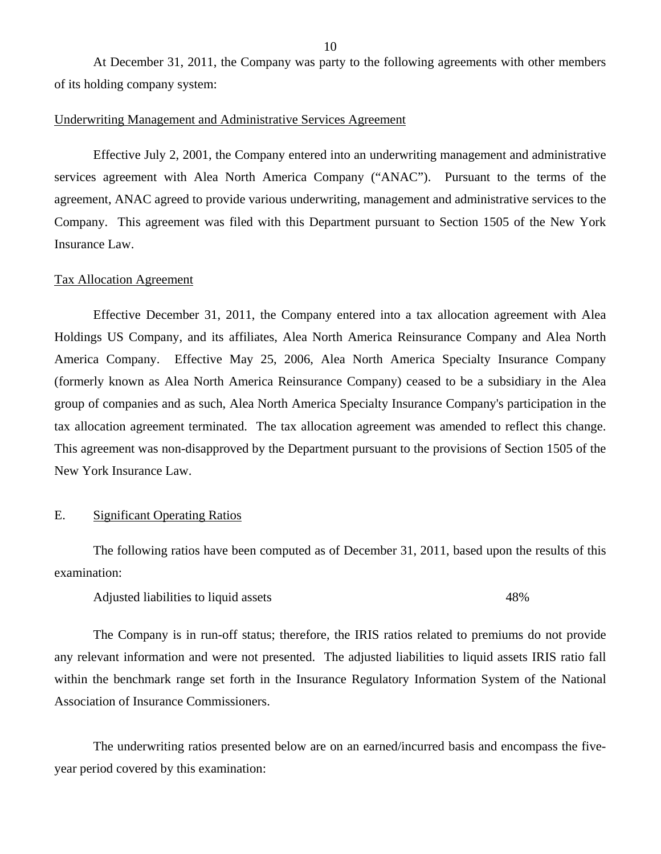<span id="page-11-0"></span>At December 31, 2011, the Company was party to the following agreements with other members of its holding company system:

#### Underwriting Management and Administrative Services Agreement

Effective July 2, 2001, the Company entered into an underwriting management and administrative services agreement with Alea North America Company ("ANAC"). Pursuant to the terms of the agreement, ANAC agreed to provide various underwriting, management and administrative services to the Company. This agreement was filed with this Department pursuant to Section 1505 of the New York Insurance Law.

#### Tax Allocation Agreement

Effective December 31, 2011, the Company entered into a tax allocation agreement with Alea Holdings US Company, and its affiliates, Alea North America Reinsurance Company and Alea North America Company. Effective May 25, 2006, Alea North America Specialty Insurance Company (formerly known as Alea North America Reinsurance Company) ceased to be a subsidiary in the Alea group of companies and as such, Alea North America Specialty Insurance Company's participation in the tax allocation agreement terminated. The tax allocation agreement was amended to reflect this change. This agreement was non-disapproved by the Department pursuant to the provisions of Section 1505 of the New York Insurance Law.

#### E. Significant Operating Ratios

The following ratios have been computed as of December 31, 2011, based upon the results of this examination:

Adjusted liabilities to liquid assets 48%

The Company is in run-off status; therefore, the IRIS ratios related to premiums do not provide any relevant information and were not presented. The adjusted liabilities to liquid assets IRIS ratio fall within the benchmark range set forth in the Insurance Regulatory Information System of the National Association of Insurance Commissioners.

The underwriting ratios presented below are on an earned/incurred basis and encompass the fiveyear period covered by this examination: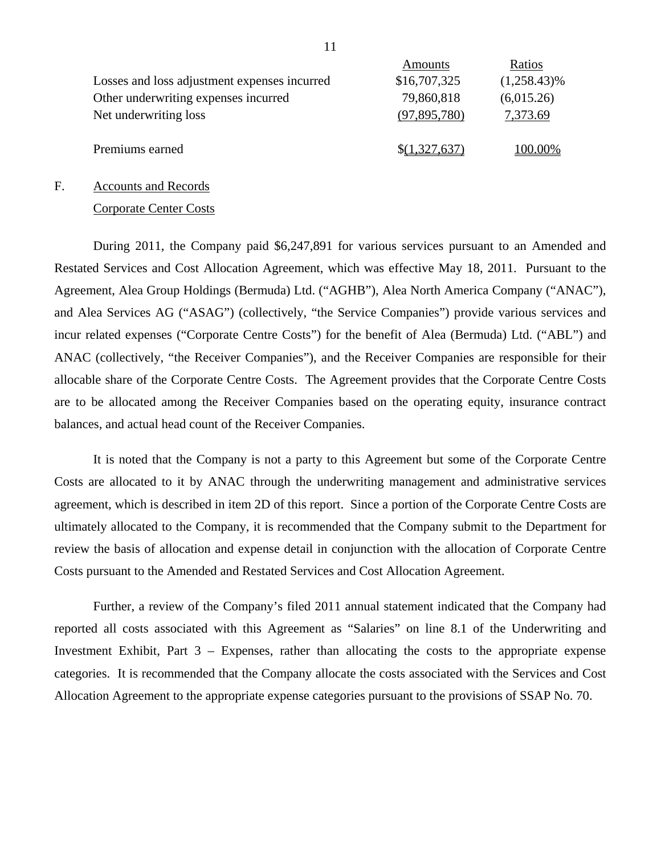|                                              | Amounts       | Ratios         |
|----------------------------------------------|---------------|----------------|
| Losses and loss adjustment expenses incurred | \$16,707,325  | $(1,258.43)\%$ |
| Other underwriting expenses incurred         | 79,860,818    | (6,015.26)     |
| Net underwriting loss                        | (97,895,780)  | 7,373.69       |
|                                              |               |                |
| Premiums earned                              | \$(1,327,637) | 100.00%        |

#### F. Accounts and Records

#### Corporate Center Costs

During 2011, the Company paid \$6,247,891 for various services pursuant to an Amended and Restated Services and Cost Allocation Agreement, which was effective May 18, 2011. Pursuant to the Agreement, Alea Group Holdings (Bermuda) Ltd. ("AGHB"), Alea North America Company ("ANAC"), and Alea Services AG ("ASAG") (collectively, "the Service Companies") provide various services and incur related expenses ("Corporate Centre Costs") for the benefit of Alea (Bermuda) Ltd. ("ABL") and ANAC (collectively, "the Receiver Companies"), and the Receiver Companies are responsible for their allocable share of the Corporate Centre Costs. The Agreement provides that the Corporate Centre Costs are to be allocated among the Receiver Companies based on the operating equity, insurance contract balances, and actual head count of the Receiver Companies.

It is noted that the Company is not a party to this Agreement but some of the Corporate Centre Costs are allocated to it by ANAC through the underwriting management and administrative services agreement, which is described in item 2D of this report. Since a portion of the Corporate Centre Costs are ultimately allocated to the Company, it is recommended that the Company submit to the Department for review the basis of allocation and expense detail in conjunction with the allocation of Corporate Centre Costs pursuant to the Amended and Restated Services and Cost Allocation Agreement.

Further, a review of the Company's filed 2011 annual statement indicated that the Company had reported all costs associated with this Agreement as "Salaries" on line 8.1 of the Underwriting and Investment Exhibit, Part 3 – Expenses, rather than allocating the costs to the appropriate expense categories. It is recommended that the Company allocate the costs associated with the Services and Cost Allocation Agreement to the appropriate expense categories pursuant to the provisions of SSAP No. 70.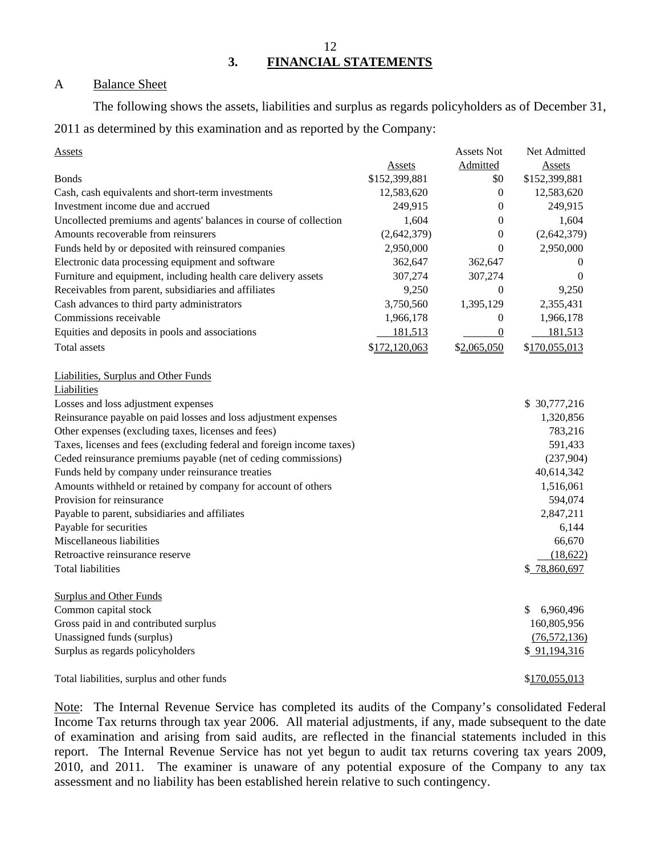12 **3. FINANCIAL STATEMENTS** 

### A Balance Sheet

The following shows the assets, liabilities and surplus as regards policyholders as of December 31, 2011 as determined by this examination and as reported by the Company:

| Assets                                                                |               | <b>Assets Not</b> | Net Admitted    |
|-----------------------------------------------------------------------|---------------|-------------------|-----------------|
|                                                                       | Assets        | Admitted          | Assets          |
| <b>B</b> onds                                                         | \$152,399,881 | \$0               | \$152,399,881   |
| Cash, cash equivalents and short-term investments                     | 12,583,620    | $\boldsymbol{0}$  | 12,583,620      |
| Investment income due and accrued                                     | 249,915       | $\boldsymbol{0}$  | 249,915         |
| Uncollected premiums and agents' balances in course of collection     | 1,604         | 0                 | 1,604           |
| Amounts recoverable from reinsurers                                   | (2,642,379)   | $\boldsymbol{0}$  | (2,642,379)     |
| Funds held by or deposited with reinsured companies                   | 2,950,000     | $\boldsymbol{0}$  | 2,950,000       |
| Electronic data processing equipment and software                     | 362,647       | 362,647           | $\theta$        |
| Furniture and equipment, including health care delivery assets        | 307,274       | 307,274           | $\theta$        |
| Receivables from parent, subsidiaries and affiliates                  | 9,250         | $\boldsymbol{0}$  | 9,250           |
| Cash advances to third party administrators                           | 3,750,560     | 1,395,129         | 2,355,431       |
| Commissions receivable                                                | 1,966,178     | $\boldsymbol{0}$  | 1,966,178       |
| Equities and deposits in pools and associations                       | 181,513       | $\overline{0}$    | 181,513         |
| Total assets                                                          | \$172,120,063 | \$2,065,050       | \$170,055,013   |
| Liabilities, Surplus and Other Funds                                  |               |                   |                 |
| Liabilities                                                           |               |                   |                 |
| Losses and loss adjustment expenses                                   |               |                   | \$ 30,777,216   |
| Reinsurance payable on paid losses and loss adjustment expenses       |               |                   | 1,320,856       |
| Other expenses (excluding taxes, licenses and fees)                   |               |                   | 783,216         |
| Taxes, licenses and fees (excluding federal and foreign income taxes) |               |                   | 591,433         |
| Ceded reinsurance premiums payable (net of ceding commissions)        |               |                   | (237,904)       |
| Funds held by company under reinsurance treaties                      |               |                   | 40,614,342      |
| Amounts withheld or retained by company for account of others         |               |                   | 1,516,061       |
| Provision for reinsurance                                             |               |                   | 594,074         |
| Payable to parent, subsidiaries and affiliates                        |               |                   | 2,847,211       |
| Payable for securities                                                |               |                   | 6,144           |
| Miscellaneous liabilities                                             |               |                   | 66,670          |
| Retroactive reinsurance reserve                                       |               |                   | (18,622)        |
| <b>Total liabilities</b>                                              |               |                   | \$78,860,697    |
| <b>Surplus and Other Funds</b>                                        |               |                   |                 |
| Common capital stock                                                  |               |                   | \$<br>6,960,496 |
| Gross paid in and contributed surplus                                 |               |                   | 160,805,956     |
| Unassigned funds (surplus)                                            |               |                   | (76, 572, 136)  |
| Surplus as regards policyholders                                      |               |                   | \$91,194,316    |
| Total liabilities, surplus and other funds                            |               |                   | \$170,055,013   |

Note: The Internal Revenue Service has completed its audits of the Company's consolidated Federal Income Tax returns through tax year 2006. All material adjustments, if any, made subsequent to the date of examination and arising from said audits, are reflected in the financial statements included in this report. The Internal Revenue Service has not yet begun to audit tax returns covering tax years 2009, 2010, and 2011. The examiner is unaware of any potential exposure of the Company to any tax assessment and no liability has been established herein relative to such contingency.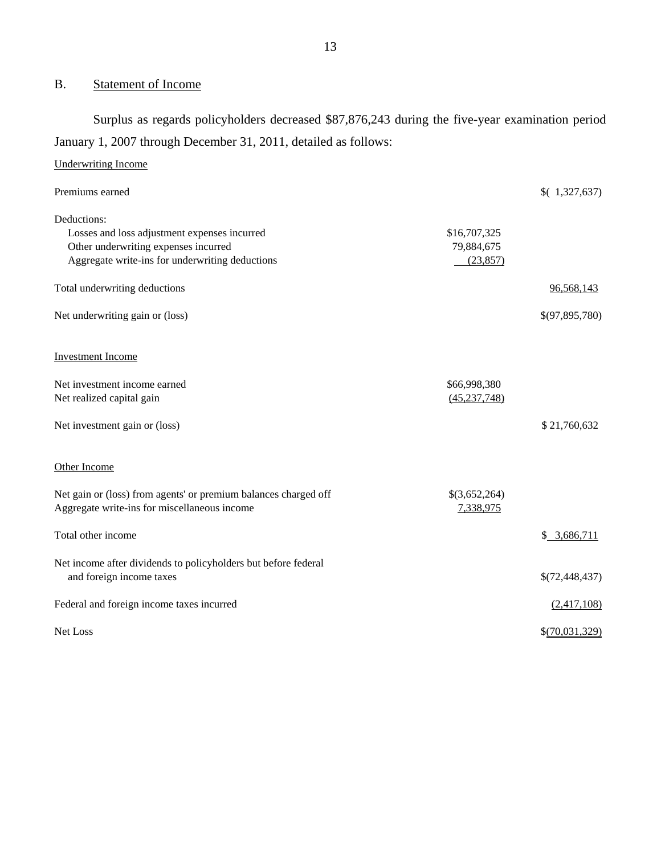## B. Statement of Income

Surplus as regards policyholders decreased \$87,876,243 during the five-year examination period January 1, 2007 through December 31, 2011, detailed as follows:

| <b>Underwriting Income</b>                                      |                |                |
|-----------------------------------------------------------------|----------------|----------------|
| Premiums earned                                                 |                | (1,327,637)    |
| Deductions:                                                     |                |                |
| Losses and loss adjustment expenses incurred                    | \$16,707,325   |                |
| Other underwriting expenses incurred                            | 79,884,675     |                |
| Aggregate write-ins for underwriting deductions                 | (23, 857)      |                |
| Total underwriting deductions                                   |                | 96,568,143     |
| Net underwriting gain or (loss)                                 |                | \$(97,895,780) |
| <b>Investment Income</b>                                        |                |                |
| Net investment income earned                                    | \$66,998,380   |                |
| Net realized capital gain                                       | (45, 237, 748) |                |
| Net investment gain or (loss)                                   |                | \$21,760,632   |
| Other Income                                                    |                |                |
| Net gain or (loss) from agents' or premium balances charged off | \$(3,652,264)  |                |
| Aggregate write-ins for miscellaneous income                    | 7,338,975      |                |
| Total other income                                              |                | \$3,686,711    |
| Net income after dividends to policyholders but before federal  |                |                |
| and foreign income taxes                                        |                | \$(72,448,437) |
| Federal and foreign income taxes incurred                       |                | (2,417,108)    |
| Net Loss                                                        |                | \$(70,031,329) |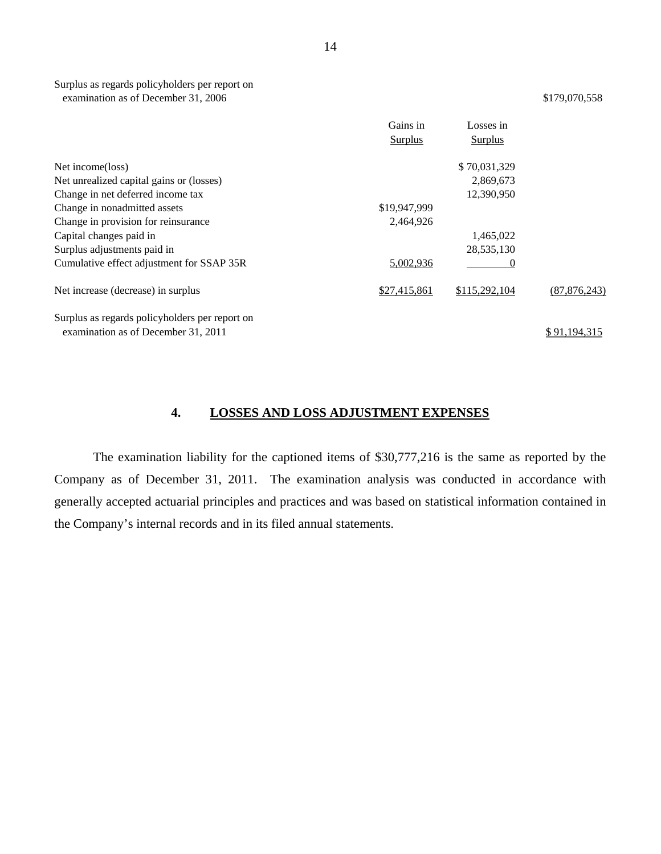<span id="page-15-0"></span>Surplus as regards policyholders per report on examination as of December 31, 2006 \$179,070,558

|                                                | Gains in       | Losses in     |                |
|------------------------------------------------|----------------|---------------|----------------|
|                                                | <b>Surplus</b> | Surplus       |                |
| Net income(loss)                               |                | \$70,031,329  |                |
| Net unrealized capital gains or (losses)       |                | 2,869,673     |                |
| Change in net deferred income tax              |                | 12,390,950    |                |
| Change in nonadmitted assets                   | \$19,947,999   |               |                |
| Change in provision for reinsurance            | 2.464,926      |               |                |
| Capital changes paid in                        |                | 1,465,022     |                |
| Surplus adjustments paid in                    |                | 28,535,130    |                |
| Cumulative effect adjustment for SSAP 35R      | 5,002,936      |               |                |
| Net increase (decrease) in surplus             | \$27,415,861   | \$115,292,104 | (87, 876, 243) |
| Surplus as regards policyholders per report on |                |               |                |
| examination as of December 31, 2011            |                |               | \$91.194.315   |

## **4. LOSSES AND LOSS ADJUSTMENT EXPENSES**

The examination liability for the captioned items of \$30,777,216 is the same as reported by the Company as of December 31, 2011. The examination analysis was conducted in accordance with generally accepted actuarial principles and practices and was based on statistical information contained in the Company's internal records and in its filed annual statements.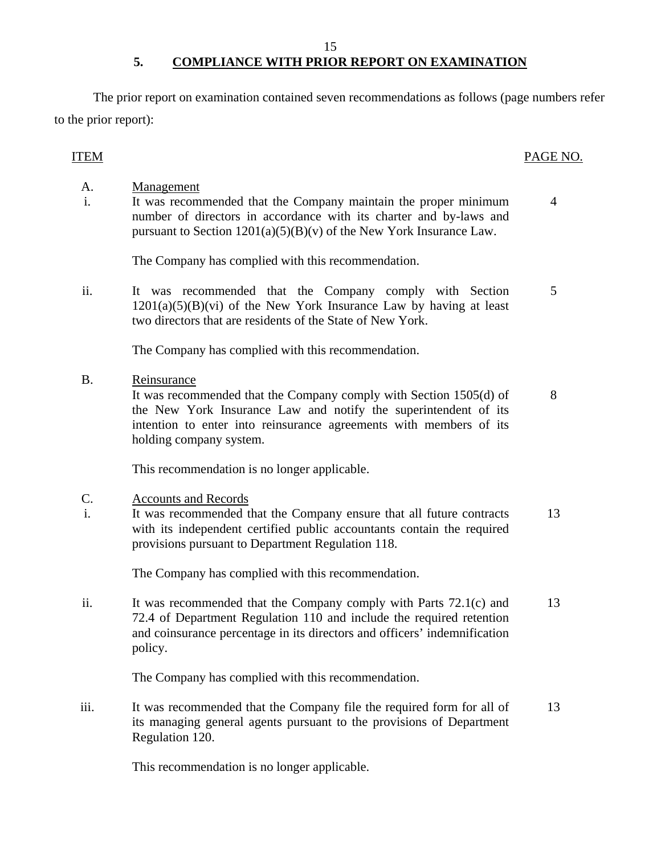### 15 **5. COMPLIANCE WITH PRIOR REPORT ON EXAMINATION**

The prior report on examination contained seven recommendations as follows (page numbers refer to the prior report):

## ITEM PAGE NO.

A.

- 
- i. It was recommended that the Company maintain the proper minimum number of directors in accordance with its charter and by-laws and pursuant to Section  $1201(a)(5)(B)(v)$  of the New York Insurance Law. 4

The Company has complied with this recommendation.

ii. It was recommended that the Company comply with Section  $1201(a)(5)(B)(vi)$  of the New York Insurance Law by having at least two directors that are residents of the State of New York. 5

The Company has complied with this recommendation.

B. Reinsurance

It was recommended that the Company comply with Section 1505(d) of the New York Insurance Law and notify the superintendent of its intention to enter into reinsurance agreements with members of its holding company system. 8

This recommendation is no longer applicable.

#### C. Accounts and Records

Management

i. It was recommended that the Company ensure that all future contracts with its independent certified public accountants contain the required provisions pursuant to Department Regulation 118. 13

The Company has complied with this recommendation.

ii. It was recommended that the Company comply with Parts 72.1(c) and 72.4 of Department Regulation 110 and include the required retention and coinsurance percentage in its directors and officers' indemnification policy. 13

The Company has complied with this recommendation.

iii. It was recommended that the Company file the required form for all of its managing general agents pursuant to the provisions of Department Regulation 120. 13

This recommendation is no longer applicable.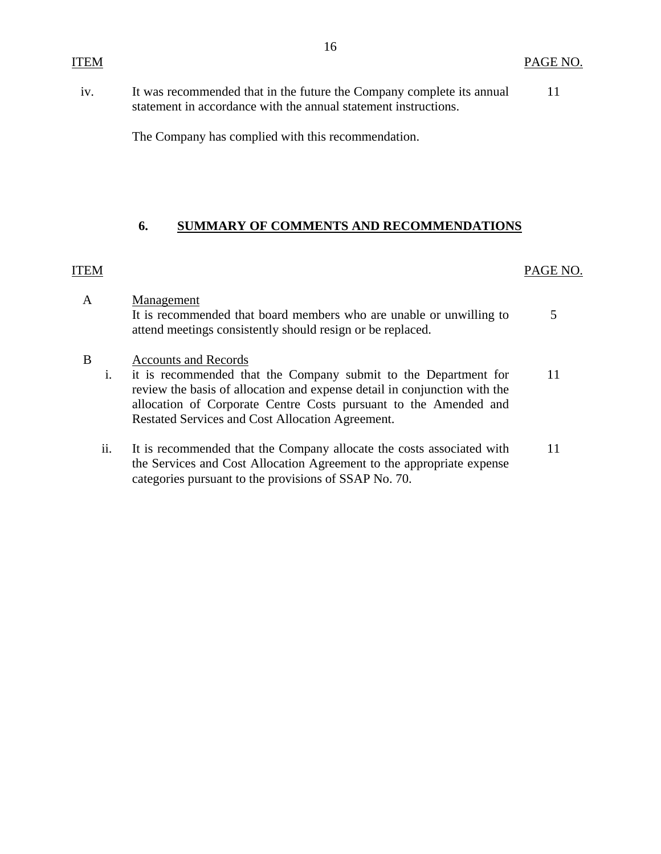<span id="page-17-0"></span>11 iv. It was recommended that in the future the Company complete its annual statement in accordance with the annual statement instructions.

The Company has complied with this recommendation.

### **6. SUMMARY OF COMMENTS AND RECOMMENDATIONS**

## ITEM PAGE NO.

- A Management It is recommended that board members who are unable or unwilling to attend meetings consistently should resign or be replaced. 5
- B Accounts and Records
	- i. it is recommended that the Company submit to the Department for 11 review the basis of allocation and expense detail in conjunction with the allocation of Corporate Centre Costs pursuant to the Amended and Restated Services and Cost Allocation Agreement.
	- ii. It is recommended that the Company allocate the costs associated with 11 the Services and Cost Allocation Agreement to the appropriate expense categories pursuant to the provisions of SSAP No. 70.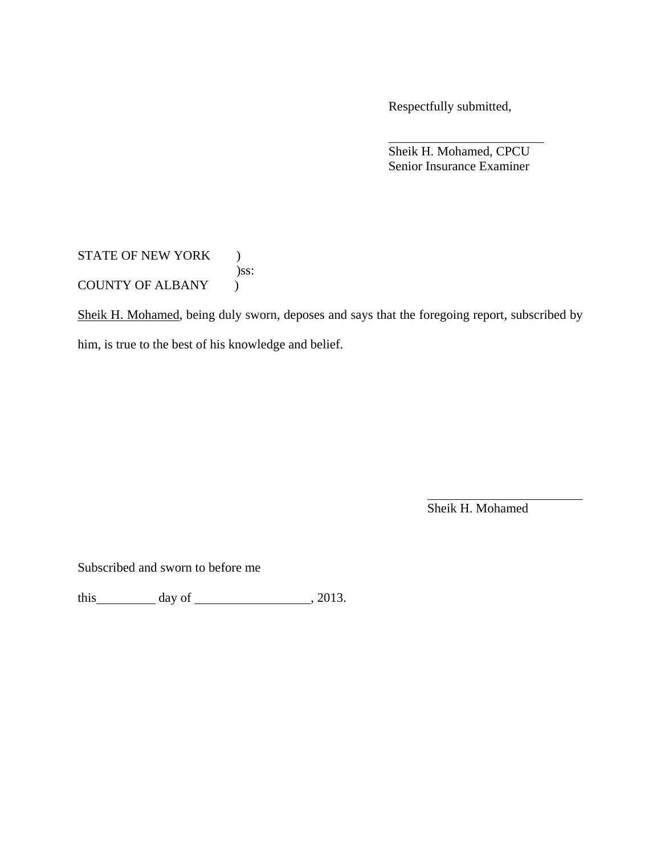Respectfully submitted,

 Sheik H. Mohamed, CPCU Senior Insurance Examiner

STATE OF NEW YORK ) )ss: COUNTY OF ALBANY )

Sheik H. Mohamed, being duly sworn, deposes and says that the foregoing report, subscribed by

him, is true to the best of his knowledge and belief.

Sheik H. Mohamed

Subscribed and sworn to before me

this  $\qquad \qquad$  day of  $\qquad \qquad$  , 2013.